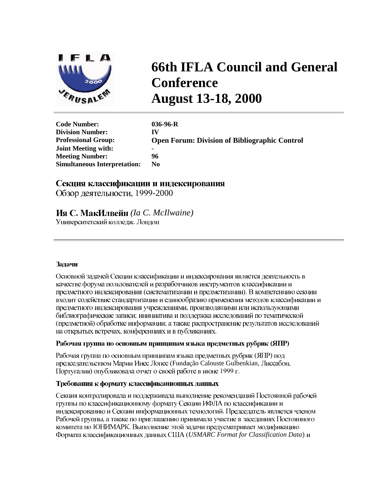

# **66th IFLA Council and General Conference August 13-18, 2000**

| <b>Code Number:</b>                 | $036-96-R$       |
|-------------------------------------|------------------|
| <b>Division Number:</b>             | IV               |
| <b>Professional Group:</b>          | <b>Open Foru</b> |
| <b>Joint Meeting with:</b>          |                  |
| <b>Meeting Number:</b>              | 96               |
| <b>Simultaneous Interpretation:</b> | No.              |

m: Division of Bibliographic Control

# Секция классификации и индексирования

Обзор деятельности, 1999-2000

# Ия С. МакИлвейн (Ia C. McIlwaine)

Университетский колледж. Лондон

# Залачи

Основной задачей Секции классификации и индексирования является деятельность в качестве форума пользователей и разработчиков инструментов классификации и предметного индексирования (систематизации и предметизации). В компетенцию секции входит содействие стандартизации и единообразию применения методов классификации и предметного индексирования учреждениями, производящими или использующими библиографические записи; инициатива и поддержка исследований по тематической (предметной) обработке информации; а также распространение результатов исследований на открытых встречах, конференциях и в публикациях.

#### Рабочая группа по основным принципам языка предметных рубрик (ЯПР)

Рабочая группа по основным принципам языка предметных рубрик (ЯПР) под председательством Марии Инес Лопес (Fundação Calouste Gulbenkian, Лиссабон, Португалия) опубликовала отчет о своей работе в июне 1999 г.

# Требования к формату классификационных данных

Секция контролировала и поддерживала выполнение рекомендаций Постоянной рабочей группы по классификационному формату Секции ИФЛА по классификации и индексированию и Секции информационных технологий. Председатель является членом Рабочей группы, а также по приглашению принимала участие в заседаниях Постоянного комитета по ЮНИМАРК. Выполнение этой задачи предусматривает модификацию Формата классификационных данных США (USMARC Format for Classification Data) и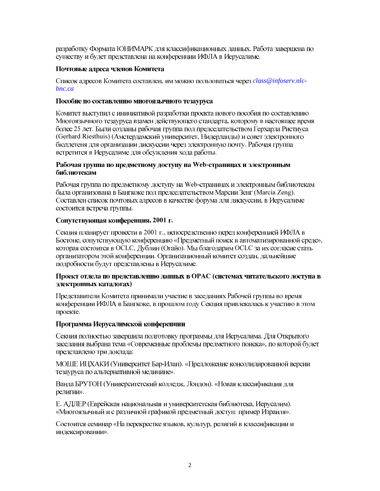разработку Формата ЮНИМАРК для классификационных данных. Работа завершена по существу и будет представлена на конференции ИФЛА в Иерусалиме.

# Почтовые адреса членов Комитета

Список адресов Комитета составлен, им можно пользоваться через class@infoserv.nlc $bnc.ca$ 

## Пособие по составлению многоязычного тезауруса

Комитет выступил с инициативой разработки проекта нового пособия по составлению Многоязычного тезауруса взамен действующего стандарта, которому в настоящее время более 25 лет. Были созданы рабочая группа под председательством Герхарда Ристиуса (Gerhard Riesthuis) (Амстердамский университет, Нидерланды) и совет электронного бюллетеня для организации дискуссии через электронную почту. Рабочая группа встретится в Иерусалиме для обсуждения хода работы.

#### Рабочая группа по предметному доступу на Web-страницах и электронным библиотекам

Рабочая группа по предметному доступу на Web-страницах и электронным библиотекам была организована в Бангкоке под председательством Марсии Зенг (Marcia Zeng). Составлен список почтовых адресов в качестве форума для дискуссии, в Иерусалиме состоится встреча группы.

## Сопутствующая конференция, 2001 г.

Секция планирует провести в 2001 г., непосредственно перед конференцией ИФЛА в Бостоне, сопутствующую конференцию «Предметный поиск в автоматизированной среде», которая состоится в OCLC, Дублин (Огайо). Мы благодарим OCLC за их согласие стать организатором этой конференции. Организационный комитет создан, дальнейшие подробности будут представлены в Иерусалиме.

## Проект отдела по представлению данных в ОРАС (системах читательского доступа в электронных каталогах)

Представители Комитета принимали участие в заседаниях Рабочей группы во время конференции ИФЛА в Бангкоке, в прошлом году Секция привлекалась к участию в этом проекте.

# Программа Иерусалимской конференции

Секция полностью завершила подготовку программы для Иерусалима. Для Открытого заседания выбрана тема «Современные проблемы предметного поиска», по которой будет представлено три доклада:

МОШЕ ИЦХАКИ (Университет Бар-Илан). «Предложение консолидированной версии тезауруса по альтернативной медицине».

Ванда БРУТОН (Университетский колледж, Лондон). «Новая классификация для религии».

Е. АДЛЕР (Еврейская национальная и университетская библиотека, Иерусалим). «Многоязычный и с различной графикой предметный доступ: пример Израиля».

Состоится семинар «На перекрестке языков, культур, религий в классификации и индексировании».